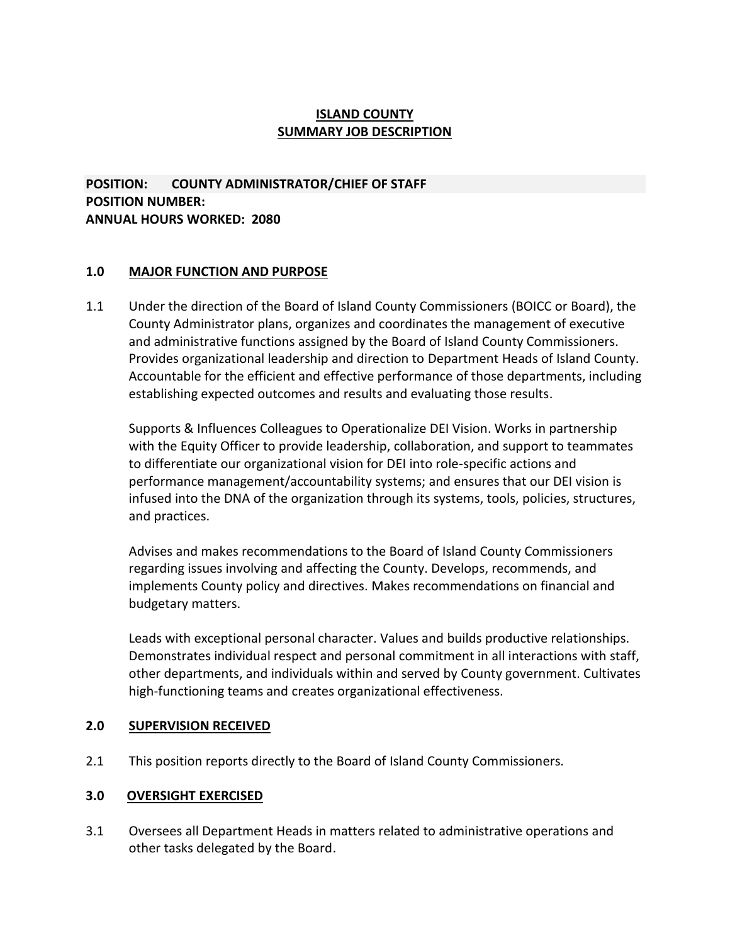# **ISLAND COUNTY SUMMARY JOB DESCRIPTION**

### **POSITION: COUNTY ADMINISTRATOR/CHIEF OF STAFF POSITION NUMBER: ANNUAL HOURS WORKED: 2080**

#### **1.0 MAJOR FUNCTION AND PURPOSE**

1.1 Under the direction of the Board of Island County Commissioners (BOICC or Board), the County Administrator plans, organizes and coordinates the management of executive and administrative functions assigned by the Board of Island County Commissioners. Provides organizational leadership and direction to Department Heads of Island County. Accountable for the efficient and effective performance of those departments, including establishing expected outcomes and results and evaluating those results.

Supports & Influences Colleagues to Operationalize DEI Vision. Works in partnership with the Equity Officer to provide leadership, collaboration, and support to teammates to differentiate our organizational vision for DEI into role-specific actions and performance management/accountability systems; and ensures that our DEI vision is infused into the DNA of the organization through its systems, tools, policies, structures, and practices.

Advises and makes recommendations to the Board of Island County Commissioners regarding issues involving and affecting the County. Develops, recommends, and implements County policy and directives. Makes recommendations on financial and budgetary matters.

Leads with exceptional personal character. Values and builds productive relationships. Demonstrates individual respect and personal commitment in all interactions with staff, other departments, and individuals within and served by County government. Cultivates high-functioning teams and creates organizational effectiveness.

#### **2.0 SUPERVISION RECEIVED**

2.1 This position reports directly to the Board of Island County Commissioners.

#### **3.0 OVERSIGHT EXERCISED**

3.1 Oversees all Department Heads in matters related to administrative operations and other tasks delegated by the Board.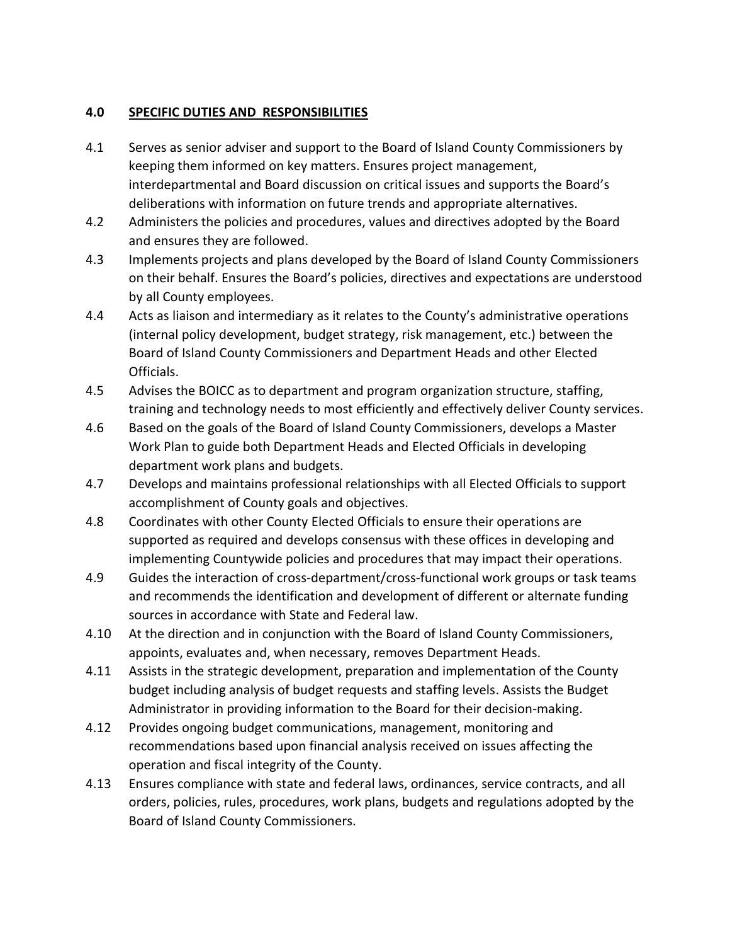## **4.0 SPECIFIC DUTIES AND RESPONSIBILITIES**

- 4.1 Serves as senior adviser and support to the Board of Island County Commissioners by keeping them informed on key matters. Ensures project management, interdepartmental and Board discussion on critical issues and supports the Board's deliberations with information on future trends and appropriate alternatives.
- 4.2 Administers the policies and procedures, values and directives adopted by the Board and ensures they are followed.
- 4.3 Implements projects and plans developed by the Board of Island County Commissioners on their behalf. Ensures the Board's policies, directives and expectations are understood by all County employees.
- 4.4 Acts as liaison and intermediary as it relates to the County's administrative operations (internal policy development, budget strategy, risk management, etc.) between the Board of Island County Commissioners and Department Heads and other Elected Officials.
- 4.5 Advises the BOICC as to department and program organization structure, staffing, training and technology needs to most efficiently and effectively deliver County services.
- 4.6 Based on the goals of the Board of Island County Commissioners, develops a Master Work Plan to guide both Department Heads and Elected Officials in developing department work plans and budgets.
- 4.7 Develops and maintains professional relationships with all Elected Officials to support accomplishment of County goals and objectives.
- 4.8 Coordinates with other County Elected Officials to ensure their operations are supported as required and develops consensus with these offices in developing and implementing Countywide policies and procedures that may impact their operations.
- 4.9 Guides the interaction of cross-department/cross-functional work groups or task teams and recommends the identification and development of different or alternate funding sources in accordance with State and Federal law.
- 4.10 At the direction and in conjunction with the Board of Island County Commissioners, appoints, evaluates and, when necessary, removes Department Heads.
- 4.11 Assists in the strategic development, preparation and implementation of the County budget including analysis of budget requests and staffing levels. Assists the Budget Administrator in providing information to the Board for their decision-making.
- 4.12 Provides ongoing budget communications, management, monitoring and recommendations based upon financial analysis received on issues affecting the operation and fiscal integrity of the County.
- 4.13 Ensures compliance with state and federal laws, ordinances, service contracts, and all orders, policies, rules, procedures, work plans, budgets and regulations adopted by the Board of Island County Commissioners.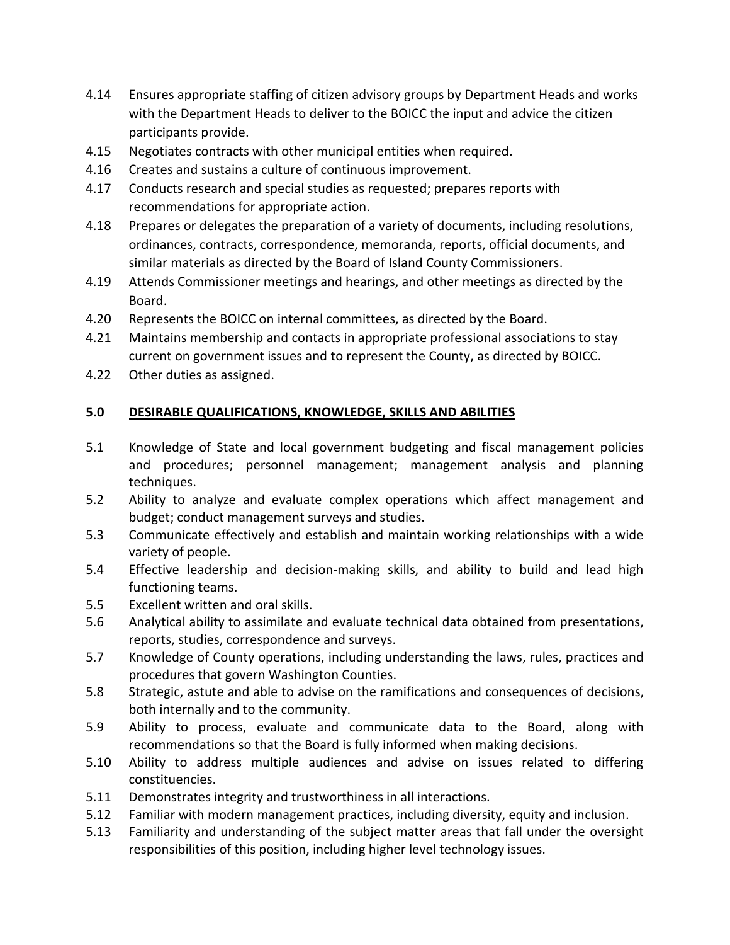- 4.14 Ensures appropriate staffing of citizen advisory groups by Department Heads and works with the Department Heads to deliver to the BOICC the input and advice the citizen participants provide.
- 4.15 Negotiates contracts with other municipal entities when required.
- 4.16 Creates and sustains a culture of continuous improvement.
- 4.17 Conducts research and special studies as requested; prepares reports with recommendations for appropriate action.
- 4.18 Prepares or delegates the preparation of a variety of documents, including resolutions, ordinances, contracts, correspondence, memoranda, reports, official documents, and similar materials as directed by the Board of Island County Commissioners.
- 4.19 Attends Commissioner meetings and hearings, and other meetings as directed by the Board.
- 4.20 Represents the BOICC on internal committees, as directed by the Board.
- 4.21 Maintains membership and contacts in appropriate professional associations to stay current on government issues and to represent the County, as directed by BOICC.
- 4.22 Other duties as assigned.

## **5.0 DESIRABLE QUALIFICATIONS, KNOWLEDGE, SKILLS AND ABILITIES**

- 5.1 Knowledge of State and local government budgeting and fiscal management policies and procedures; personnel management; management analysis and planning techniques.
- 5.2 Ability to analyze and evaluate complex operations which affect management and budget; conduct management surveys and studies.
- 5.3 Communicate effectively and establish and maintain working relationships with a wide variety of people.
- 5.4 Effective leadership and decision-making skills, and ability to build and lead high functioning teams.
- 5.5 Excellent written and oral skills.
- 5.6 Analytical ability to assimilate and evaluate technical data obtained from presentations, reports, studies, correspondence and surveys.
- 5.7 Knowledge of County operations, including understanding the laws, rules, practices and procedures that govern Washington Counties.
- 5.8 Strategic, astute and able to advise on the ramifications and consequences of decisions, both internally and to the community.
- 5.9 Ability to process, evaluate and communicate data to the Board, along with recommendations so that the Board is fully informed when making decisions.
- 5.10 Ability to address multiple audiences and advise on issues related to differing constituencies.
- 5.11 Demonstrates integrity and trustworthiness in all interactions.
- 5.12 Familiar with modern management practices, including diversity, equity and inclusion.
- 5.13 Familiarity and understanding of the subject matter areas that fall under the oversight responsibilities of this position, including higher level technology issues.